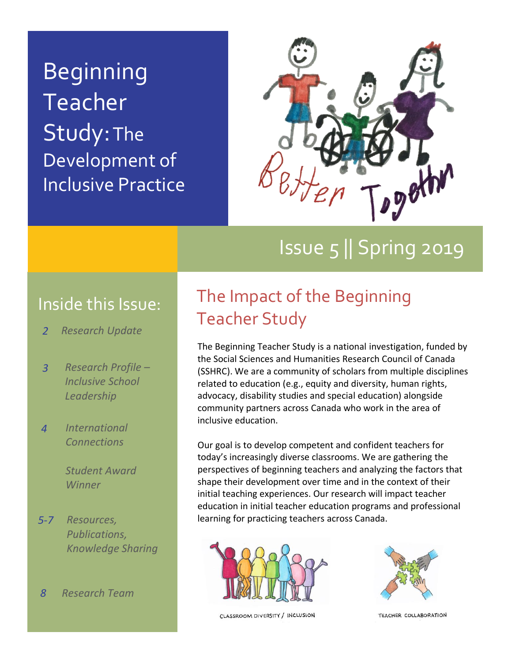Beginning **Teacher** Study: The Development of Inclusive Practice



# Issue 5 || Spring 2019

### Inside this Issue:

- *Research Update 2*
- *Research Profile – Inclusive School Leadership 3*
- *International Connections 4*

*Student Award Winner*

- *Resources, Publications, Knowledge Sharing 5-7*
- *Research Team 8*

## The Impact of the Beginning Teacher Study

The Beginning Teacher Study is a national investigation, funded by the Social Sciences and Humanities Research Council of Canada (SSHRC). We are a community of scholars from multiple disciplines related to education (e.g., equity and diversity, human rights, advocacy, disability studies and special education) alongside community partners across Canada who work in the area of inclusive education.

Our goal is to develop competent and confident teachers for today's increasingly diverse classrooms. We are gathering the perspectives of beginning teachers and analyzing the factors that shape their development over time and in the context of their initial teaching experiences. Our research will impact teacher education in initial teacher education programs and professional learning for practicing teachers across Canada.





CLASSROOM DIVERSITY / INCLUSION

TEACHER COLLABORATION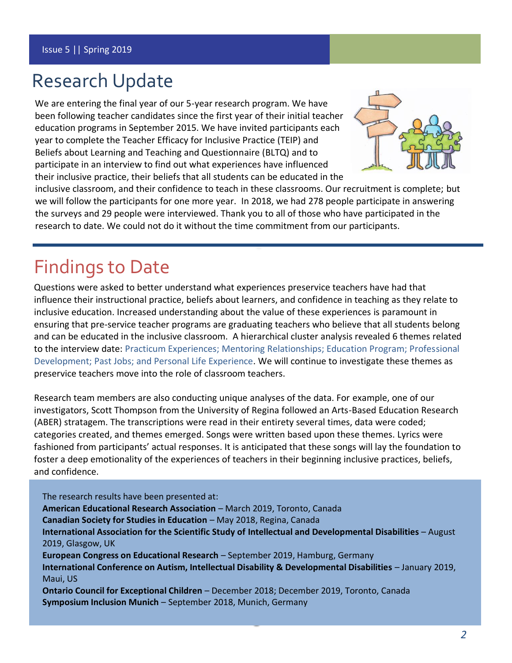## Research Update

We are entering the final year of our 5-year research program. We have been following teacher candidates since the first year of their initial teacher education programs in September 2015. We have invited participants each year to complete the Teacher Efficacy for Inclusive Practice (TEIP) and Beliefs about Learning and Teaching and Questionnaire (BLTQ) and to participate in an interview to find out what experiences have influenced their inclusive practice, their beliefs that all students can be educated in the



inclusive classroom, and their confidence to teach in these classrooms. Our recruitment is complete; but we will follow the participants for one more year. In 2018, we had 278 people participate in answering the surveys and 29 people were interviewed. Thank you to all of those who have participated in the research to date. We could not do it without the time commitment from our participants.

## Findings to Date

Questions were asked to better understand what experiences preservice teachers have had that influence their instructional practice, beliefs about learners, and confidence in teaching as they relate to inclusive education. Increased understanding about the value of these experiences is paramount in ensuring that pre-service teacher programs are graduating teachers who believe that all students belong and can be educated in the inclusive classroom. A hierarchical cluster analysis revealed 6 themes related to the interview date: Practicum Experiences; Mentoring Relationships; Education Program; Professional Development; Past Jobs; and Personal Life Experience. We will continue to investigate these themes as preservice teachers move into the role of classroom teachers.

Research team members are also conducting unique analyses of the data. For example, one of our investigators, Scott Thompson from the University of Regina followed an Arts-Based Education Research (ABER) stratagem. The transcriptions were read in their entirety several times, data were coded; categories created, and themes emerged. Songs were written based upon these themes. Lyrics were fashioned from participants' actual responses. It is anticipated that these songs will lay the foundation to foster a deep emotionality of the experiences of teachers in their beginning inclusive practices, beliefs, and confidence.

The research results have been presented at: **American Educational Research Association** – March 2019, Toronto, Canada **Canadian Society for Studies in Education** – May 2018, Regina, Canada **International Association for the Scientific Study of Intellectual and Developmental Disabilities** – August 2019, Glasgow, UK **European Congress on Educational Research** – September 2019, Hamburg, Germany **International Conference on Autism, Intellectual Disability & Developmental Disabilities** – January 2019, Maui, US **Ontario Council for Exceptional Children** – December 2018; December 2019, Toronto, Canada **Symposium Inclusion Munich** – September 2018, Munich, Germany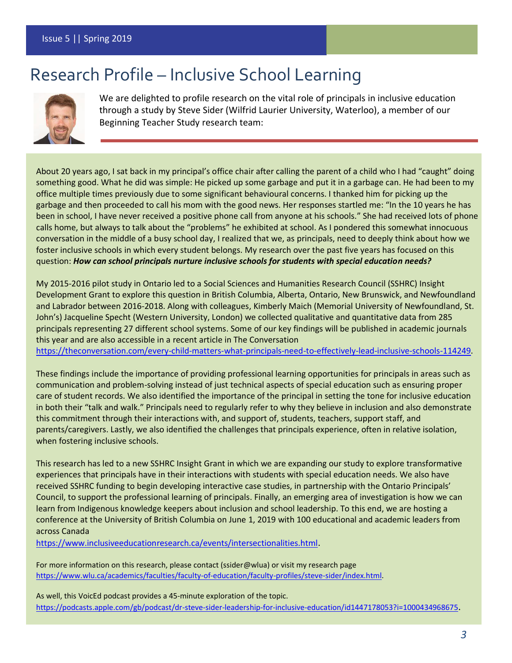## Research Profile – Inclusive School Learning



We are delighted to profile research on the vital role of principals in inclusive education through a study by Steve Sider (Wilfrid Laurier University, Waterloo), a member of our Beginning Teacher Study research team:

About 20 years ago, I sat back in my principal's office chair after calling the parent of a child who I had "caught" doing something good. What he did was simple: He picked up some garbage and put it in a garbage can. He had been to my office multiple times previously due to some significant behavioural concerns. I thanked him for picking up the garbage and then proceeded to call his mom with the good news. Her responses startled me: "In the 10 years he has been in school, I have never received a positive phone call from anyone at his schools." She had received lots of phone calls home, but always to talk about the "problems" he exhibited at school. As I pondered this somewhat innocuous conversation in the middle of a busy school day, I realized that we, as principals, need to deeply think about how we foster inclusive schools in which every student belongs. My research over the past five years has focused on this question: *How can school principals nurture inclusive schools for students with special education needs?*

My 2015-2016 pilot study in Ontario led to a Social Sciences and Humanities Research Council (SSHRC) Insight Development Grant to explore this question in British Columbia, Alberta, Ontario, New Brunswick, and Newfoundland and Labrador between 2016-2018. Along with colleagues, Kimberly Maich (Memorial University of Newfoundland, St. John's) Jacqueline Specht (Western University, London) we collected qualitative and quantitative data from 285 principals representing 27 different school systems. Some of our key findings will be published in academic journals this year and are also accessible in a recent article in The Conversation

[https://theconversation.com/every-child-matters-what-principals-need-to-effectively-lead-inclusive-schools-114249.](https://theconversation.com/every-child-matters-what-principals-need-to-effectively-lead-inclusive-schools-114249)

These findings include the importance of providing professional learning opportunities for principals in areas such as communication and problem-solving instead of just technical aspects of special education such as ensuring proper care of student records. We also identified the importance of the principal in setting the tone for inclusive education in both their "talk and walk." Principals need to regularly refer to why they believe in inclusion and also demonstrate this commitment through their interactions with, and support of, students, teachers, support staff, and parents/caregivers. Lastly, we also identified the challenges that principals experience, often in relative isolation, when fostering inclusive schools.

This research has led to a new SSHRC Insight Grant in which we are expanding our study to explore transformative experiences that principals have in their interactions with students with special education needs. We also have received SSHRC funding to begin developing interactive case studies, in partnership with the Ontario Principals' Council, to support the professional learning of principals. Finally, an emerging area of investigation is how we can learn from Indigenous knowledge keepers about inclusion and school leadership. To this end, we are hosting a conference at the University of British Columbia on June 1, 2019 with 100 educational and academic leaders from across Canada

<https://www.inclusiveeducationresearch.ca/events/intersectionalities.html>.

For more information on this research, please contact (ssider@wlua) or visit my research page [https://www.wlu.ca/academics/faculties/faculty-of-education/faculty-profiles/steve-sider/index.html.](https://www.wlu.ca/academics/faculties/faculty-of-education/faculty-profiles/steve-sider/index.html)

As well, this VoicEd podcast provides a 45-minute exploration of the topic. <https://podcasts.apple.com/gb/podcast/dr-steve-sider-leadership-for-inclusive-education/id1447178053?i=1000434968675>.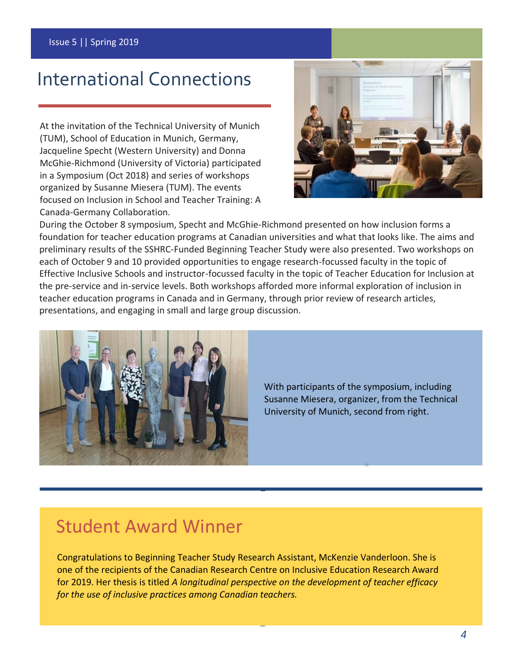## International Connections

At the invitation of the Technical University of Munich (TUM), School of Education in Munich, Germany, Jacqueline Specht (Western University) and Donna McGhie-Richmond (University of Victoria) participated in a Symposium (Oct 2018) and series of workshops organized by Susanne Miesera (TUM). The events focused on Inclusion in School and Teacher Training: A Canada-Germany Collaboration.



During the October 8 symposium, Specht and McGhie-Richmond presented on how inclusion forms a foundation for teacher education programs at Canadian universities and what that looks like. The aims and preliminary results of the SSHRC-Funded Beginning Teacher Study were also presented. Two workshops on each of October 9 and 10 provided opportunities to engage research-focussed faculty in the topic of Effective Inclusive Schools and instructor-focussed faculty in the topic of Teacher Education for Inclusion at the pre-service and in-service levels. Both workshops afforded more informal exploration of inclusion in teacher education programs in Canada and in Germany, through prior review of research articles, presentations, and engaging in small and large group discussion.



With participants of the symposium, including Susanne Miesera, organizer, from the Technical University of Munich, second from right.

## Student Award Winner

Congratulations to Beginning Teacher Study Research Assistant, McKenzie Vanderloon. She is one of the recipients of the Canadian Research Centre on Inclusive Education Research Award for 2019. Her thesis is titled *A longitudinal perspective on the development of teacher efficacy for the use of inclusive practices among Canadian teachers.*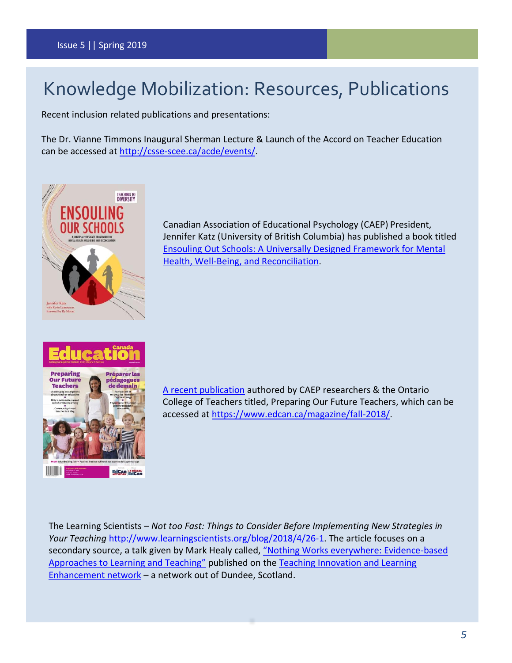## Knowledge Mobilization: Resources, Publications

Recent inclusion related publications and presentations:

The Dr. Vianne Timmons Inaugural Sherman Lecture & Launch of the Accord on Teacher Education can be accessed at [http://csse-scee.ca/acde/events/.](http://csse-scee.ca/acde/events/)



Canadian Association of Educational Psychology (CAEP) President, Jennifer Katz (University of British Columbia) has published a book titled Ensouling [Out Schools: A Universally Designed Framework for Mental](https://www.portageandmainpress.com/product/ensouling-our-schools/)  [Health, Well-Being, and Reconciliation.](https://www.portageandmainpress.com/product/ensouling-our-schools/)



[A recent publication](https://www.inclusiveeducationresearch.ca/docs/Exploring-Leadership-Practices2.pdf) authored by CAEP researchers & the Ontario College of Teachers titled, Preparing Our Future Teachers, which can be accessed at [https://www.edcan.ca/magazine/fall-2018/.](https://www.edcan.ca/magazine/fall-2018/)

The Learning Scientists – *Not too Fast: Things to Consider Before Implementing New Strategies in Your Teaching* [http://www.learningscientists.org/blog/2018/4/26-1.](http://www.learningscientists.org/blog/2018/4/26-1) The article focuses on a secondary source, a talk given by Mark Healy called, ["Nothing Works everywhere: Evidence](https://learningspaces.dundee.ac.uk/tile/2018/04/23/reflection-mark-healys-talk-on-nothing-works-everywhere-evidence-based-approaches-to-learning-and-teaching/)-based Approa[ches to Learning and Teaching"](https://learningspaces.dundee.ac.uk/tile/2018/04/23/reflection-mark-healys-talk-on-nothing-works-everywhere-evidence-based-approaches-to-learning-and-teaching/) published on th[e Teaching Innovation and Learning](https://learningspaces.dundee.ac.uk/tile/)  [Enhancement network](https://learningspaces.dundee.ac.uk/tile/) – a network out of Dundee, Scotland.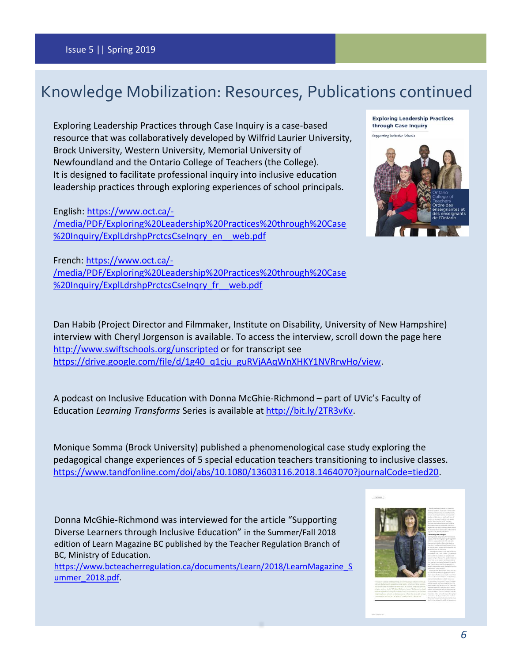### Knowledge Mobilization: Resources, Publications continued

Exploring Leadership Practices through Case Inquiry is a case-based resource that was collaboratively developed by Wilfrid Laurier University, Brock University, Western University, Memorial University of Newfoundland and the Ontario College of Teachers (the College). It is designed to facilitate professional inquiry into inclusive education leadership practices through exploring experiences of school principals.

English: [https://www.oct.ca/-](https://www.oct.ca/-/media/PDF/Exploring%20Leadership%20Practices%20through%20Case%20Inquiry/ExplLdrshpPrctcsCseInqry_en__web.pdf) [/media/PDF/Exploring%20Leadership%20Practices%20through%20Case](https://www.oct.ca/-/media/PDF/Exploring%20Leadership%20Practices%20through%20Case%20Inquiry/ExplLdrshpPrctcsCseInqry_en__web.pdf) %20Inquiry/ExplLdrshpPrctcsCseInqry\_en\_web.pdf



French: [https://www.oct.ca/-](https://www.oct.ca/-/media/PDF/Exploring%20Leadership%20Practices%20through%20Case%20Inquiry/ExplLdrshpPrctcsCseInqry_fr__web.pdf) [/media/PDF/Exploring%20Leadership%20Practices%20through%20Case](https://www.oct.ca/-/media/PDF/Exploring%20Leadership%20Practices%20through%20Case%20Inquiry/ExplLdrshpPrctcsCseInqry_fr__web.pdf) [%20Inquiry/ExplLdrshpPrctcsCseInqry\\_fr\\_\\_web.pdf](https://www.oct.ca/-/media/PDF/Exploring%20Leadership%20Practices%20through%20Case%20Inquiry/ExplLdrshpPrctcsCseInqry_fr__web.pdf)

Dan Habib (Project Director and Filmmaker, Institute on Disability, University of New Hampshire) interview with Cheryl Jorgenson is available. To access the interview, scroll down the page here <http://www.swiftschools.org/unscripted> or for transcript see [https://drive.google.com/file/d/1g40\\_q1cju\\_guRVjAAqWnXHKY1NVRrwHo/view.](https://drive.google.com/file/d/1g40_q1cju_guRVjAAqWnXHKY1NVRrwHo/view)

A podcast on Inclusive Education with Donna McGhie-Richmond – part of UVic's Faculty of Education *Learning Transforms* Series is available at [http://bit.ly/2TR3vKv.](http://bit.ly/2TR3vKv)

Monique Somma (Brock University) published a phenomenological case study exploring the pedagogical change experiences of 5 special education teachers transitioning to inclusive classes. [https://www.tandfonline.com/doi/abs/10.1080/13603116.2018.1464070?journalCode=tied20.](https://www.tandfonline.com/doi/abs/10.1080/13603116.2018.1464070?journalCode=tied20)

Donna McGhie-Richmond was interviewed for the article "Supporting Diverse Learners through Inclusive Education" in the Summer/Fall 2018 edition of Learn Magazine BC published by the Teacher Regulation Branch of BC, Ministry of Education.

https://www.bcteacherregulation.ca/documents/Learn/2018/LearnMagazine S [ummer\\_2018.pdf.](https://www.bcteacherregulation.ca/documents/Learn/2018/LearnMagazine_Summer_2018.pdf)

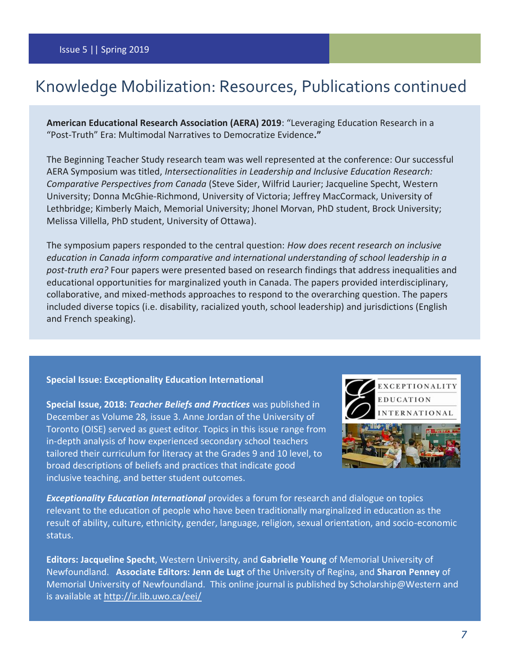### Knowledge Mobilization: Resources, Publications continued

**American Educational Research Association (AERA) 2019**: "Leveraging Education Research in a "Post-Truth" Era: Multimodal Narratives to Democratize Evidence**."**

The Beginning Teacher Study research team was well represented at the conference: Our successful AERA Symposium was titled, *Intersectionalities in Leadership and Inclusive Education Research: Comparative Perspectives from Canada* (Steve Sider, Wilfrid Laurier; Jacqueline Specht, Western University; Donna McGhie-Richmond, University of Victoria; Jeffrey MacCormack, University of Lethbridge; Kimberly Maich, Memorial University; Jhonel Morvan, PhD student, Brock University; Melissa Villella, PhD student, University of Ottawa).

The symposium papers responded to the central question: *How does recent research on inclusive education in Canada inform comparative and international understanding of school leadership in a post-truth era?* Four papers were presented based on research findings that address inequalities and educational opportunities for marginalized youth in Canada. The papers provided interdisciplinary, collaborative, and mixed-methods approaches to respond to the overarching question. The papers included diverse topics (i.e. disability, racialized youth, school leadership) and jurisdictions (English and French speaking).

#### **Special Issue: Exceptionality Education International**

**Special Issue, 2018:** *Teacher Beliefs and Practices* was published in December as Volume 28, issue 3. Anne Jordan of the University of Toronto (OISE) served as guest editor. Topics in this issue range from in-depth analysis of how experienced secondary school teachers tailored their curriculum for literacy at the Grades 9 and 10 level, to broad descriptions of beliefs and practices that indicate good inclusive teaching, and better student outcomes.



*Exceptionality Education International* provides a forum for research and dialogue on topics relevant to the education of people who have been traditionally marginalized in education as the result of ability, culture, ethnicity, gender, language, religion, sexual orientation, and socio-economic status.

**Editors: Jacqueline Specht**, Western University, and **Gabrielle Young** of Memorial University of Newfoundland. **Associate Editors: Jenn de Lugt** of the University of Regina, and **Sharon Penney** of Memorial University of Newfoundland. This online journal is published by Scholarship@Western and is available at<http://ir.lib.uwo.ca/eei/>